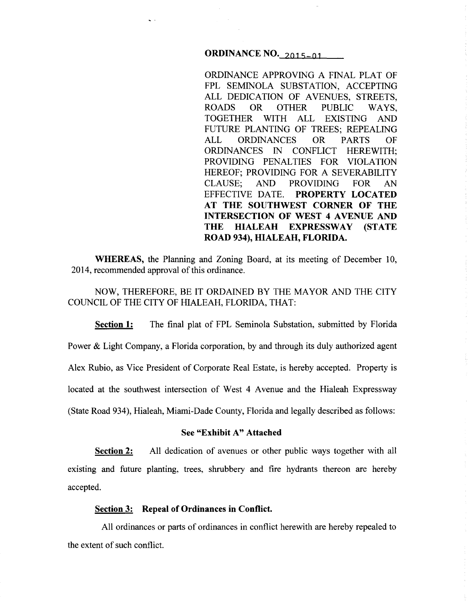# **ORDINANCE NO. 2015-01**

 $\mathbf{q}$  .

ORDINANCE APPROVING A FINAL PLAT OF FPL SEMINOLA SUBSTATION, ACCEPTING ALL DEDICATION OF AVENUES, STREETS, ROADS OR OTHER PUBLIC WAYS,<br>TOGETHER WITH ALL EXISTING AND WITH ALL EXISTING AND FUTURE PLANTING OF TREES; REPEALING ALL ORDINANCES OR PARTS OF ORDINANCES IN CONFLICT HEREWITH; PROVIDING PENALTIES FOR VIOLATION HEREOF; PROVIDING FOR A SEVERABILITY CLAUSE; AND PROVIDING FOR AN EFFECTIVE DATE. **PROPERTY LOCATED AT THE SOUTHWEST CORNER OF THE INTERSECTION OF WEST 4 AVENUE AND THE HIALEAH EXPRESSWAY (STATE ROAD 934), HIALEAH, FLORIDA.** 

**WHEREAS,** the Planning and Zoning Board, at its meeting of December 10, 2014, recommended approval of this ordinance.

NOW, THEREFORE, BE IT ORDAINED BY THE MAYOR AND THE CITY COUNCIL OF THE CITY OF HIALEAH, FLORIDA, THAT:

**Section 1:** The final plat of FPL Seminola Substation, submitted by Florida Power & Light Company, a Florida corporation, by and through its duly authorized agent Alex Rubio, as Vice President of Corporate Real Estate, is hereby accepted. Property is located at the southwest intersection of West 4 Avenue and the Hialeah Expressway (State Road 934), Hialeah, Miami-Dade County, Florida and legally described as follows:

# **See "Exhibit A" Attached**

**Section 2:** All dedication of avenues or other public ways together with all existing and future planting, trees, shrubbery and fire hydrants thereon are hereby accepted.

#### **Section 3: Repeal of Ordinances in Conflict.**

All ordinances or parts of ordinances in conflict herewith are hereby repealed to the extent of such conflict.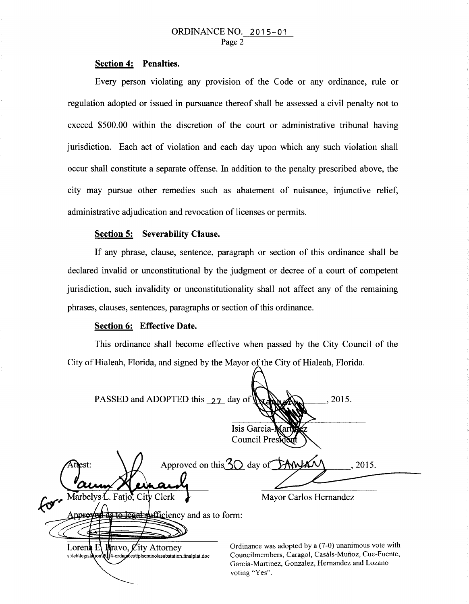# **Section 4: Penalties.**

Every person violating any provision of the Code or any ordinance, rule or regulation adopted or issued in pursuance thereof shall be assessed a civil penalty not to exceed \$500.00 within the discretion of the court or administrative tribunal having jurisdiction. Each act of violation and each day upon which any such violation shall occur shall constitute a separate offense. In addition to the penalty prescribed above, the city may pursue other remedies such as abatement of nuisance, injunctive relief, administrative adjudication and revocation of licenses or permits.

#### **Section 5: Severability Clause.**

If any phrase, clause, sentence, paragraph or section of this ordinance shall be declared invalid or unconstitutional by the judgment or decree of a court of competent jurisdiction, such invalidity or unconstitutionality shall not affect any of the remaining phrases, clauses, sentences, paragraphs or section of this ordinance.

#### **Section 6: Effective Date.**

This ordinance shall become effective when passed by the City Council of the City of Hialeah, Florida, and signed by the Mayor of the City of Hialeah, Florida.

PASSED and ADOPTED this  $27$  day of '2015. Isis Garcia Council Pres Approved on this  $30$  day of *Attest:* '2015. Marbelys L. Fatjo, City Clerk Mayor Carlos Hernandez  $\mathcal{G}^{\mathcal{F}^{\prime}}$ de to legal sufficiency and as to form: Anpro Ordinance was adopted by a (7-0) unanimous vote with Lorena  $E$ **Bravo, City Attorney** Councilmembers, Caragol, Casals-Mufioz, Cue-Fuente, s:\leb\legislation\Qqf4-ordiances\fplseminolasubstation.finalplat.doc Garcia-Martinez, Gonzalez, Hernandez and Lozano voting "Yes".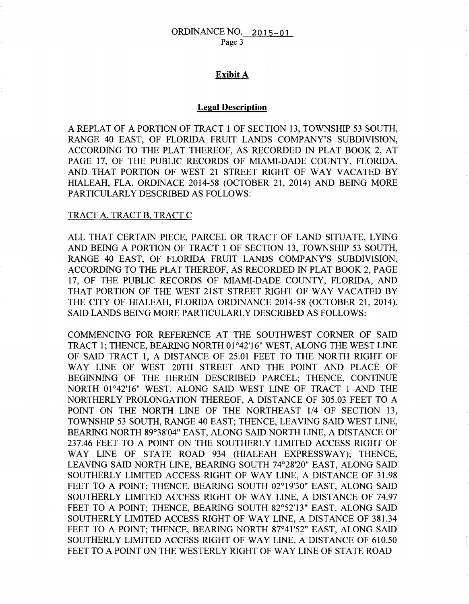# **Exibit** A

### **Legal Description**

A REPLAT OF A PORTION OF TRACT 1 OF SECTION 13, TOWNSHIP 53 SOUTH, RANGE 40 EAST, OF FLORIDA FRUIT LANDS COMPANY'S SUBDIVISION, ACCORDING TO THE PLAT THEREOF, AS RECORDED IN PLAT BOOK 2, AT PAGE 17, OF THE PUBLIC RECORDS OF MIAMI-DADE COUNTY, FLORIDA, AND THAT PORTION OF WEST 21 STREET RIGHT OF WAY VACATED BY HIALEAH, FLA. ORDINACE 2014-58 (OCTOBER 21, 2014) AND BEING MORE PARTICULARLY DESCRIBED AS FOLLOWS:

### TRACT A, TRACT B, TRACT C

ALL THAT CERTAIN PIECE, PARCEL OR TRACT OF LAND SITUATE, LYING AND BEING A PORTION OF TRACT 1 OF SECTION 13, TOWNSHIP 53 SOUTH, RANGE 40 EAST, OF FLORIDA FRUIT LANDS COMPANY'S SUBDIVISION, ACCORDING TO THE PLAT THEREOF, AS RECORDED IN PLAT BOOK 2, PAGE 17, OF THE PUBLIC RECORDS OF MIAMI-DADE COUNTY, FLORIDA, AND THAT PORTION OF THE WEST 21ST STREET RIGHT OF WAY VACATED BY THE CITY OF HIALEAH, FLORIDA ORDINANCE 2014-58 (OCTOBER 21, 2014). SAID LANDS BEING MORE PARTICULARLY DESCRIBED AS FOLLOWS:

COMMENCING FOR REFERENCE AT THE SOUTHWEST CORNER OF SAID TRACT 1; THENCE, BEARING NORTH 01°42'16" WEST, ALONG THE WEST LINE OF SAID TRACT 1, A DISTANCE OF 25.01 FEET TO THE NORTH RIGHT OF WAY LINE OF WEST 20TH STREET AND THE POINT AND PLACE OF BEGINNING OF THE HEREIN DESCRIBED PARCEL; THENCE, CONTINUE NORTH 01°42'16" WEST, ALONG SAID WEST LINE OF TRACT 1 AND THE NORTHERLY PROLONGATION THEREOF, A DISTANCE OF 305.03 FEET TO A POINT ON THE NORTH LINE OF THE NORTHEAST 1/4 OF SECTION 13, TOWNSHIP 53 SOUTH, RANGE 40 EAST; THENCE, LEAVING SAID WEST LINE, BEARING NORTH 89°38'04" EAST, ALONG SAID NORTH LINE, A DISTANCE OF 237.46 FEET TO A POINT ON THE SOUTHERLY LIMITED ACCESS RIGHT OF WAY LINE OF STATE ROAD 934 (HIALEAH EXPRESSWAY); THENCE, LEAVING SAID NORTH LINE, BEARING SOUTH 74°28'20" EAST, ALONG SAID SOUTHERLY LIMITED ACCESS RIGHT OF WAY LINE, A DISTANCE OF 31.98 FEET TO A POINT; THENCE, BEARING SOUTH 02°19'30" EAST, ALONG SAID SOUTHERLY LIMITED ACCESS RIGHT OF WAY LINE, A DISTANCE OF 74.97 FEET TO A POINT; THENCE, BEARING SOUTH 82°52'13" EAST, ALONG SAID SOUTHERLY LIMITED ACCESS RIGHT OF WAY LINE, A DISTANCE OF 381.34 FEET TO A POINT; THENCE, BEARING NORTH 87°41'52" EAST, ALONG SAID SOUTHERLY LIMITED ACCESS RIGHT OF WAY LINE, A DISTANCE OF 610.50 FEET TO A POINT ON THE WESTERLY RIGHT OF WAY LINE OF STATE ROAD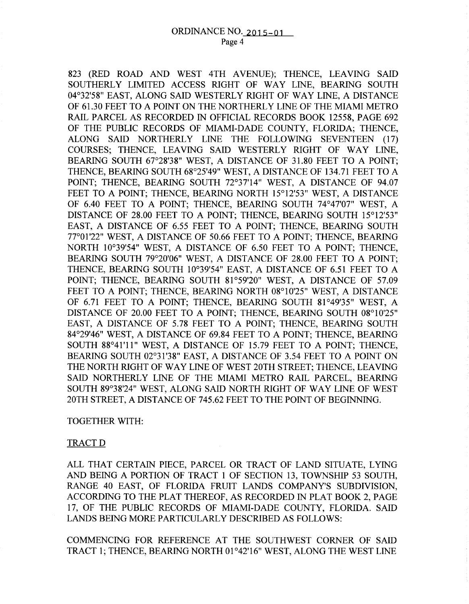823 (RED ROAD AND WEST 4TH A VENUE); THENCE, LEAVING SAID SOUTHERLY LIMITED ACCESS RIGHT OF WAY LINE, BEARING SOUTH 04°32'58" EAST, ALONG SAID WESTERLY RIGHT OF WAY LINE, A DISTANCE OF 61.30 FEET TO A POINT ON THE NORTHERLY LINE OF THE MIAMI METRO RAIL PARCEL AS RECORDED IN OFFICIAL RECORDS BOOK 12558, PAGE 692 OF THE PUBLIC RECORDS OF MIAMI-DADE COUNTY, FLORIDA; THENCE, ALONG SAID NORTHERLY LINE THE FOLLOWING SEVENTEEN (17) COURSES; THENCE, LEAVING SAID WESTERLY RIGHT OF WAY LINE, BEARING SOUTH 67°28'38" WEST, A DISTANCE OF 31.80 FEET TO A POINT; THENCE, BEARING SOUTH 68°25'49" WEST, A DISTANCE OF 134.71 FEET TO A POINT; THENCE, BEARING SOUTH 72°37'14" WEST, A DISTANCE OF 94.07 FEET TO A POINT; THENCE, BEARING NORTH 15°12'53" WEST, A DISTANCE OF 6.40 FEET TO A POINT; THENCE, BEARING SOUTH 74°47'07" WEST, A DISTANCE OF 28.00 FEET TO A POINT; THENCE, BEARING SOUTH 15°12'53" EAST, A DISTANCE OF 6.55 FEET TO A POINT; THENCE, BEARING SOUTH 77°01'22" WEST, A DISTANCE OF 50.66 FEET TO A POINT; THENCE, BEARING NORTH 10°39'54" WEST, A DISTANCE OF 6.50 FEET TO A POINT; THENCE, BEARING SOUTH 79°20'06" WEST, A DISTANCE OF 28.00 FEET TO A POINT; THENCE, BEARING SOUTH 10°39'54" EAST, A DISTANCE OF 6.51 FEET TO A POINT; THENCE, BEARING SOUTH 81°59'20" WEST, A DISTANCE OF 57.09 FEET TO A POINT: THENCE, BEARING NORTH 08°10'25" WEST, A DISTANCE OF 6.71 FEET TO A POINT; THENCE, BEARING SOUTH 81°49'35" WEST, A DISTANCE OF 20.00 FEET TO A POINT; THENCE, BEARING SOUTH 08°10'25" EAST, A DISTANCE OF 5.78 FEET TO A POINT; THENCE, BEARING SOUTH 84°29'46" WEST, A DISTANCE OF 69.84 FEET TO A POINT; THENCE, BEARING SOUTH 88°41'11" WEST, A DISTANCE OF 15.79 FEET TO A POINT; THENCE, BEARING SOUTH 02°31'38" EAST, A DISTANCE OF 3.54 FEET TO A POINT ON THE NORTH RIGHT OF WAY LINE OF WEST 20TH STREET; THENCE, LEAVING SAID NORTHERLY LINE OF THE MIAMI METRO RAIL PARCEL, BEARING SOUTH 89°38'24" WEST, ALONG SAID NORTH RIGHT OF WAY LINE OF WEST 20TH STREET, A DISTANCE OF 745.62 FEET TO THE POINT OF BEGINNING.

### TOGETHER WITH:

#### TRACTD

ALL THAT CERTAIN PIECE, PARCEL OR TRACT OF LAND SITUATE, LYING AND BEING A PORTION OF TRACT 1 OF SECTION 13, TOWNSHIP 53 SOUTH, RANGE 40 EAST, OF FLORIDA FRUIT LANDS COMPANY'S SUBDIVISION, ACCORDING TO THE PLAT THEREOF, AS RECORDED IN PLAT BOOK 2, PAGE 17, OF THE PUBLIC RECORDS OF MIAMI-DADE COUNTY, FLORIDA. SAID LANDS BEING MORE PARTICULARLY DESCRIBED AS FOLLOWS:

COMMENCING FOR REFERENCE AT THE SOUTHWEST CORNER OF SAID TRACT 1; THENCE, BEARING NORTH 01 °42'16" WEST, ALONG THE WEST LINE